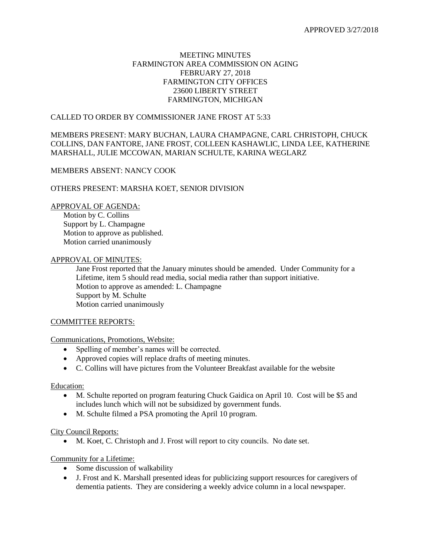## MEETING MINUTES FARMINGTON AREA COMMISSION ON AGING FEBRUARY 27, 2018 FARMINGTON CITY OFFICES 23600 LIBERTY STREET FARMINGTON, MICHIGAN

## CALLED TO ORDER BY COMMISSIONER JANE FROST AT 5:33

## MEMBERS PRESENT: MARY BUCHAN, LAURA CHAMPAGNE, CARL CHRISTOPH, CHUCK COLLINS, DAN FANTORE, JANE FROST, COLLEEN KASHAWLIC, LINDA LEE, KATHERINE MARSHALL, JULIE MCCOWAN, MARIAN SCHULTE, KARINA WEGLARZ

# MEMBERS ABSENT: NANCY COOK

### OTHERS PRESENT: MARSHA KOET, SENIOR DIVISION

### APPROVAL OF AGENDA:

Motion by C. Collins Support by L. Champagne Motion to approve as published. Motion carried unanimously

### APPROVAL OF MINUTES:

Jane Frost reported that the January minutes should be amended. Under Community for a Lifetime, item 5 should read media, social media rather than support initiative. Motion to approve as amended: L. Champagne Support by M. Schulte Motion carried unanimously

#### COMMITTEE REPORTS:

#### Communications, Promotions, Website:

- Spelling of member's names will be corrected.
- Approved copies will replace drafts of meeting minutes.
- C. Collins will have pictures from the Volunteer Breakfast available for the website

#### Education:

- M. Schulte reported on program featuring Chuck Gaidica on April 10. Cost will be \$5 and includes lunch which will not be subsidized by government funds.
- M. Schulte filmed a PSA promoting the April 10 program.

#### City Council Reports:

M. Koet, C. Christoph and J. Frost will report to city councils. No date set.

#### Community for a Lifetime:

- Some discussion of walkability
- J. Frost and K. Marshall presented ideas for publicizing support resources for caregivers of dementia patients. They are considering a weekly advice column in a local newspaper.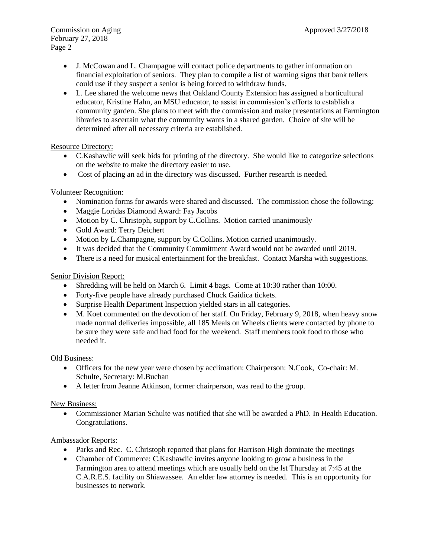- J. McCowan and L. Champagne will contact police departments to gather information on financial exploitation of seniors. They plan to compile a list of warning signs that bank tellers could use if they suspect a senior is being forced to withdraw funds.
- L. Lee shared the welcome news that Oakland County Extension has assigned a horticultural educator, Kristine Hahn, an MSU educator, to assist in commission's efforts to establish a community garden. She plans to meet with the commission and make presentations at Farmington libraries to ascertain what the community wants in a shared garden. Choice of site will be determined after all necessary criteria are established.

Resource Directory:

- C.Kashawlic will seek bids for printing of the directory. She would like to categorize selections on the website to make the directory easier to use.
- Cost of placing an ad in the directory was discussed. Further research is needed.

# Volunteer Recognition:

- Nomination forms for awards were shared and discussed. The commission chose the following:
- Maggie Loridas Diamond Award: Fay Jacobs
- Motion by C. Christoph, support by C. Collins. Motion carried unanimously
- Gold Award: Terry Deichert
- Motion by L.Champagne, support by C.Collins. Motion carried unanimously.
- It was decided that the Community Commitment Award would not be awarded until 2019.
- There is a need for musical entertainment for the breakfast. Contact Marsha with suggestions.

# Senior Division Report:

- Shredding will be held on March 6. Limit 4 bags. Come at 10:30 rather than 10:00.
- Forty-five people have already purchased Chuck Gaidica tickets.
- Surprise Health Department Inspection yielded stars in all categories.
- M. Koet commented on the devotion of her staff. On Friday, February 9, 2018, when heavy snow made normal deliveries impossible, all 185 Meals on Wheels clients were contacted by phone to be sure they were safe and had food for the weekend. Staff members took food to those who needed it.

Old Business:

- Officers for the new year were chosen by acclimation: Chairperson: N.Cook, Co-chair: M. Schulte, Secretary: M.Buchan
- A letter from Jeanne Atkinson, former chairperson, was read to the group.

# New Business:

 Commissioner Marian Schulte was notified that she will be awarded a PhD. In Health Education. Congratulations.

# Ambassador Reports:

- Parks and Rec. C. Christoph reported that plans for Harrison High dominate the meetings
- Chamber of Commerce: C.Kashawlic invites anyone looking to grow a business in the Farmington area to attend meetings which are usually held on the lst Thursday at 7:45 at the C.A.R.E.S. facility on Shiawassee. An elder law attorney is needed. This is an opportunity for businesses to network.